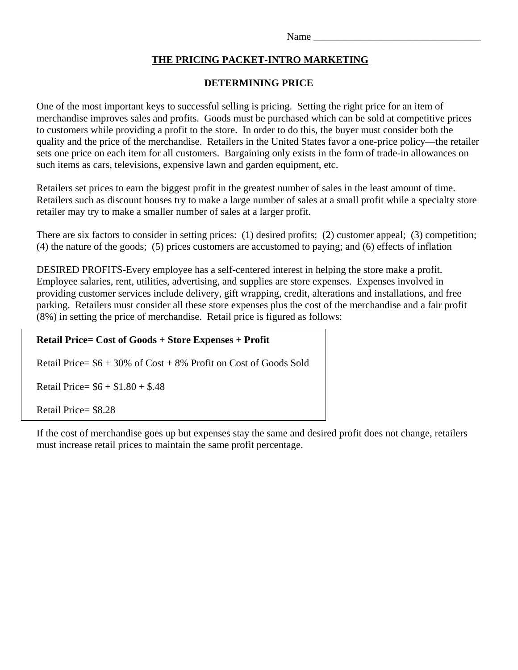Name\_

## **THE PRICING PACKET-INTRO MARKETING**

### **DETERMINING PRICE**

One of the most important keys to successful selling is pricing. Setting the right price for an item of merchandise improves sales and profits. Goods must be purchased which can be sold at competitive prices to customers while providing a profit to the store. In order to do this, the buyer must consider both the quality and the price of the merchandise. Retailers in the United States favor a one-price policy—the retailer sets one price on each item for all customers. Bargaining only exists in the form of trade-in allowances on such items as cars, televisions, expensive lawn and garden equipment, etc.

Retailers set prices to earn the biggest profit in the greatest number of sales in the least amount of time. Retailers such as discount houses try to make a large number of sales at a small profit while a specialty store retailer may try to make a smaller number of sales at a larger profit.

There are six factors to consider in setting prices: (1) desired profits; (2) customer appeal; (3) competition; (4) the nature of the goods; (5) prices customers are accustomed to paying; and (6) effects of inflation

DESIRED PROFITS-Every employee has a self-centered interest in helping the store make a profit. Employee salaries, rent, utilities, advertising, and supplies are store expenses. Expenses involved in providing customer services include delivery, gift wrapping, credit, alterations and installations, and free parking. Retailers must consider all these store expenses plus the cost of the merchandise and a fair profit (8%) in setting the price of merchandise. Retail price is figured as follows:

# **Retail Price= Cost of Goods + Store Expenses + Profit**

Retail Price=  $$6 + 30\%$  of Cost  $+ 8\%$  Profit on Cost of Goods Sold

Retail Price=  $$6 + $1.80 + $.48$ 

Retail Price= \$8.28

If the cost of merchandise goes up but expenses stay the same and desired profit does not change, retailers must increase retail prices to maintain the same profit percentage.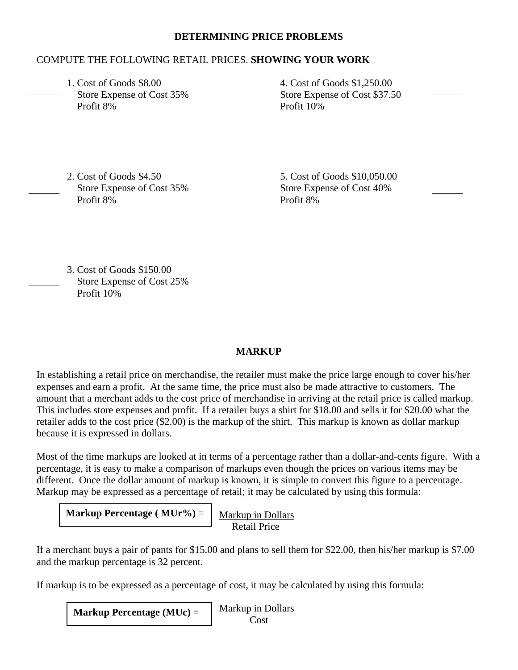#### **DETERMINING PRICE PROBLEMS**

### COMPUTE THE FOLLOWING RETAIL PRICES. **SHOWING YOUR WORK**

 1. Cost of Goods \$8.00 4. Cost of Goods \$1,250.00 Profit 8% Profit 10%

Store Expense of Cost 35% Store Expense of Cost \$37.50

2. Cost of Goods \$4.50 5. Cost of Goods \$10,050.00 Store Expense of Cost 35% Store Expense of Cost 40% Profit 8% Profit 8%

 3. Cost of Goods \$150.00 Store Expense of Cost 25% Profit 10%

### **MARKUP**

In establishing a retail price on merchandise, the retailer must make the price large enough to cover his/her expenses and earn a profit. At the same time, the price must also be made attractive to customers. The amount that a merchant adds to the cost price of merchandise in arriving at the retail price is called markup. This includes store expenses and profit. If a retailer buys a shirt for \$18.00 and sells it for \$20.00 what the retailer adds to the cost price (\$2.00) is the markup of the shirt. This markup is known as dollar markup because it is expressed in dollars.

Most of the time markups are looked at in terms of a percentage rather than a dollar-and-cents figure. With a percentage, it is easy to make a comparison of markups even though the prices on various items may be different. Once the dollar amount of markup is known, it is simple to convert this figure to a percentage. Markup may be expressed as a percentage of retail; it may be calculated by using this formula:

**Markup Percentage** ( $MUr%$ ) =  $\int_{Markup} \text{ln Dollars}$ Retail Price

If a merchant buys a pair of pants for \$15.00 and plans to sell them for \$22.00, then his/her markup is \$7.00 and the markup percentage is 32 percent.

If markup is to be expressed as a percentage of cost, it may be calculated by using this formula:

Markup in Dollars  $\cos t$ **Markup Percentage (MUc)** =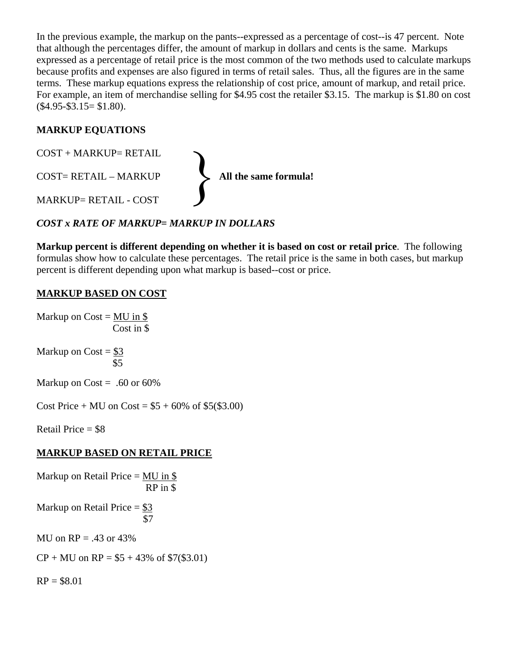In the previous example, the markup on the pants--expressed as a percentage of cost--is 47 percent. Note that although the percentages differ, the amount of markup in dollars and cents is the same. Markups expressed as a percentage of retail price is the most common of the two methods used to calculate markups because profits and expenses are also figured in terms of retail sales. Thus, all the figures are in the same terms. These markup equations express the relationship of cost price, amount of markup, and retail price. For example, an item of merchandise selling for \$4.95 cost the retailer \$3.15. The markup is \$1.80 on cost  $($4.95 - $3.15 = $1.80).$ 

## **MARKUP EQUATIONS**



## *COST x RATE OF MARKUP= MARKUP IN DOLLARS*

**Markup percent is different depending on whether it is based on cost or retail price**. The following formulas show how to calculate these percentages. The retail price is the same in both cases, but markup percent is different depending upon what markup is based--cost or price.

## **MARKUP BASED ON COST**

Markup on  $Cost = MU$  in \$ Cost in \$

Markup on Cost =  $\frac{$3}{2}$ \$5

Markup on Cost = .60 or  $60\%$ 

Cost Price + MU on Cost =  $$5 + 60\%$  of \$5(\$3.00)

Retail Price  $= $8$ 

## **MARKUP BASED ON RETAIL PRICE**

Markup on Retail Price =  $MU$  in \$ RP in \$ Markup on Retail Price  $= $3$ **\$7** MU on  $RP = .43$  or  $43\%$  $CP + MU$  on  $RP = $5 + 43\%$  of \$7(\$3.01)

 $RP = $8.01$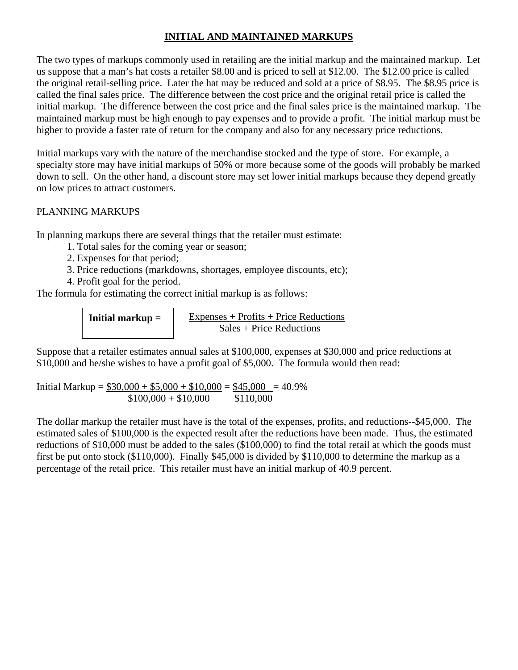## **INITIAL AND MAINTAINED MARKUPS**

The two types of markups commonly used in retailing are the initial markup and the maintained markup. Let us suppose that a man's hat costs a retailer \$8.00 and is priced to sell at \$12.00. The \$12.00 price is called the original retail-selling price. Later the hat may be reduced and sold at a price of \$8.95. The \$8.95 price is called the final sales price. The difference between the cost price and the original retail price is called the initial markup. The difference between the cost price and the final sales price is the maintained markup. The maintained markup must be high enough to pay expenses and to provide a profit. The initial markup must be higher to provide a faster rate of return for the company and also for any necessary price reductions.

Initial markups vary with the nature of the merchandise stocked and the type of store. For example, a specialty store may have initial markups of 50% or more because some of the goods will probably be marked down to sell. On the other hand, a discount store may set lower initial markups because they depend greatly on low prices to attract customers.

### PLANNING MARKUPS

In planning markups there are several things that the retailer must estimate:

- 1. Total sales for the coming year or season;
- 2. Expenses for that period;
- 3. Price reductions (markdowns, shortages, employee discounts, etc);
- 4. Profit goal for the period.

The formula for estimating the correct initial markup is as follows:

**Initial markup =** 

Expenses + Profits + Price Reductions Sales + Price Reductions

Suppose that a retailer estimates annual sales at \$100,000, expenses at \$30,000 and price reductions at \$10,000 and he/she wishes to have a profit goal of \$5,000. The formula would then read:

Initial Markup =  $$30,000 + $5,000 + $10,000 = $45,000 = 40.9\%$  $$100,000 + $10,000$  \$110,000

The dollar markup the retailer must have is the total of the expenses, profits, and reductions--\$45,000. The estimated sales of \$100,000 is the expected result after the reductions have been made. Thus, the estimated reductions of \$10,000 must be added to the sales (\$100,000) to find the total retail at which the goods must first be put onto stock (\$110,000). Finally \$45,000 is divided by \$110,000 to determine the markup as a percentage of the retail price. This retailer must have an initial markup of 40.9 percent.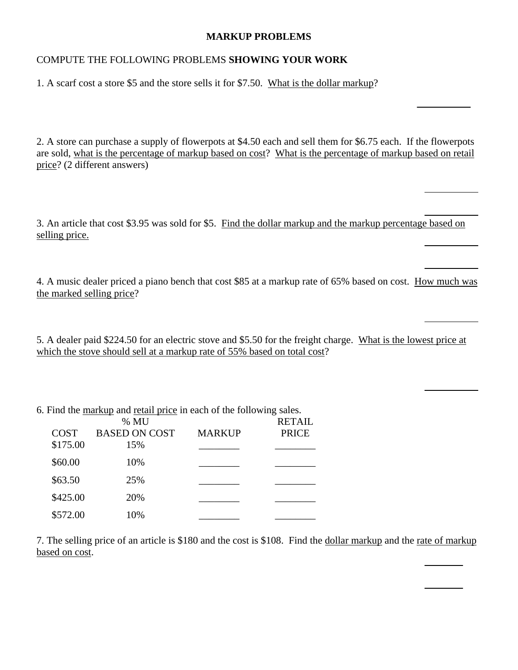#### **MARKUP PROBLEMS**

### COMPUTE THE FOLLOWING PROBLEMS **SHOWING YOUR WORK**

1. A scarf cost a store \$5 and the store sells it for \$7.50. What is the dollar markup?

2. A store can purchase a supply of flowerpots at \$4.50 each and sell them for \$6.75 each. If the flowerpots are sold, what is the percentage of markup based on cost? What is the percentage of markup based on retail price? (2 different answers)

3. An article that cost \$3.95 was sold for \$5. Find the dollar markup and the markup percentage based on selling price.

4. A music dealer priced a piano bench that cost \$85 at a markup rate of 65% based on cost. How much was the marked selling price?

5. A dealer paid \$224.50 for an electric stove and \$5.50 for the freight charge. What is the lowest price at which the stove should sell at a markup rate of 55% based on total cost?

6. Find the markup and retail price in each of the following sales.

|             | % MU                 |               | <b>RETAIL</b> |
|-------------|----------------------|---------------|---------------|
| <b>COST</b> | <b>BASED ON COST</b> | <b>MARKUP</b> | <b>PRICE</b>  |
| \$175.00    | 15%                  |               |               |
| \$60.00     | 10%                  |               |               |
| \$63.50     | 25%                  |               |               |
| \$425.00    | 20%                  |               |               |
| \$572.00    | 10%                  |               |               |

7. The selling price of an article is \$180 and the cost is \$108. Find the dollar markup and the rate of markup based on cost.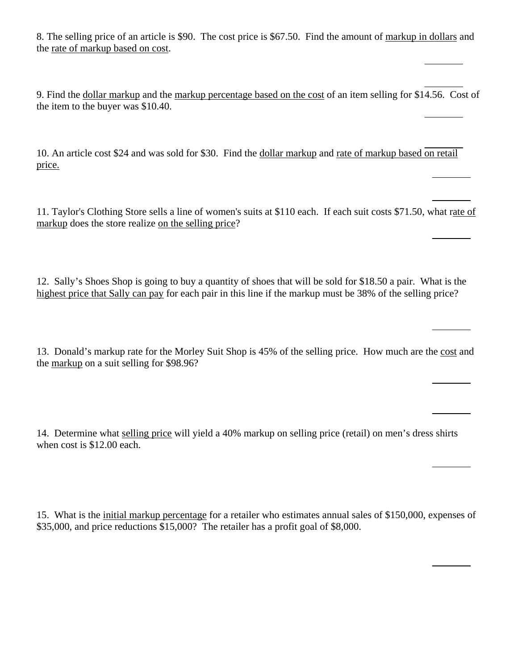8. The selling price of an article is \$90. The cost price is \$67.50. Find the amount of markup in dollars and the rate of markup based on cost.

9. Find the dollar markup and the markup percentage based on the cost of an item selling for \$14.56. Cost of the item to the buyer was \$10.40.

10. An article cost \$24 and was sold for \$30. Find the dollar markup and rate of markup based on retail price.

11. Taylor's Clothing Store sells a line of women's suits at \$110 each. If each suit costs \$71.50, what rate of markup does the store realize on the selling price?

12. Sally's Shoes Shop is going to buy a quantity of shoes that will be sold for \$18.50 a pair. What is the highest price that Sally can pay for each pair in this line if the markup must be 38% of the selling price?

13. Donald's markup rate for the Morley Suit Shop is 45% of the selling price. How much are the cost and the markup on a suit selling for \$98.96?

14. Determine what selling price will yield a 40% markup on selling price (retail) on men's dress shirts when cost is \$12.00 each.

15. What is the initial markup percentage for a retailer who estimates annual sales of \$150,000, expenses of \$35,000, and price reductions \$15,000? The retailer has a profit goal of \$8,000.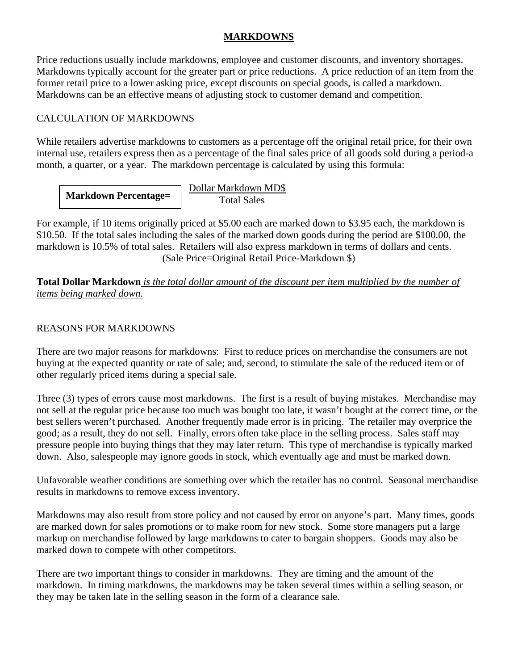### **MARKDOWNS**

Price reductions usually include markdowns, employee and customer discounts, and inventory shortages. Markdowns typically account for the greater part or price reductions. A price reduction of an item from the former retail price to a lower asking price, except discounts on special goods, is called a markdown. Markdowns can be an effective means of adjusting stock to customer demand and competition.

## CALCULATION OF MARKDOWNS

While retailers advertise markdowns to customers as a percentage off the original retail price, for their own internal use, retailers express then as a percentage of the final sales price of all goods sold during a period-a month, a quarter, or a year. The markdown percentage is calculated by using this formula:

 Dollar Markdown MD\$ **Markdown Percentage=**  $\frac{1}{\text{Total Sales}}$ 

For example, if 10 items originally priced at \$5.00 each are marked down to \$3.95 each, the markdown is \$10.50. If the total sales including the sales of the marked down goods during the period are \$100.00, the markdown is 10.5% of total sales. Retailers will also express markdown in terms of dollars and cents. (Sale Price=Original Retail Price-Markdown \$)

**Total Dollar Markdown** *is the total dollar amount of the discount per item multiplied by the number of items being marked down.* 

## REASONS FOR MARKDOWNS

There are two major reasons for markdowns: First to reduce prices on merchandise the consumers are not buying at the expected quantity or rate of sale; and, second, to stimulate the sale of the reduced item or of other regularly priced items during a special sale.

Three (3) types of errors cause most markdowns. The first is a result of buying mistakes. Merchandise may not sell at the regular price because too much was bought too late, it wasn't bought at the correct time, or the best sellers weren't purchased. Another frequently made error is in pricing. The retailer may overprice the good; as a result, they do not sell. Finally, errors often take place in the selling process. Sales staff may pressure people into buying things that they may later return. This type of merchandise is typically marked down. Also, salespeople may ignore goods in stock, which eventually age and must be marked down.

Unfavorable weather conditions are something over which the retailer has no control. Seasonal merchandise results in markdowns to remove excess inventory.

Markdowns may also result from store policy and not caused by error on anyone's part. Many times, goods are marked down for sales promotions or to make room for new stock. Some store managers put a large markup on merchandise followed by large markdowns to cater to bargain shoppers. Goods may also be marked down to compete with other competitors.

There are two important things to consider in markdowns. They are timing and the amount of the markdown. In timing markdowns, the markdowns may be taken several times within a selling season, or they may be taken late in the selling season in the form of a clearance sale.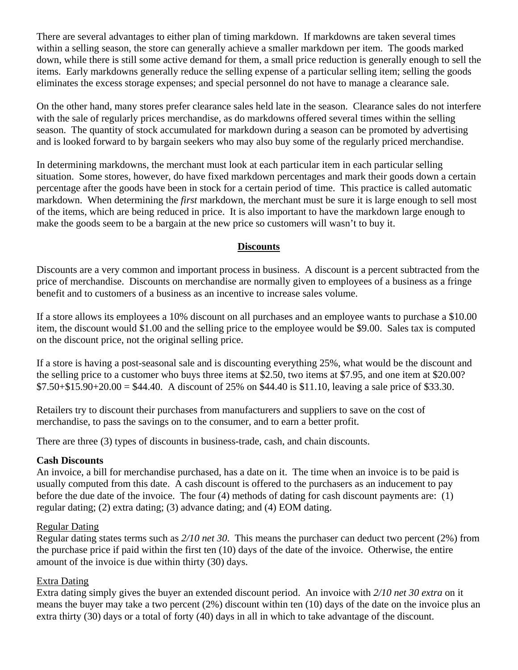There are several advantages to either plan of timing markdown. If markdowns are taken several times within a selling season, the store can generally achieve a smaller markdown per item. The goods marked down, while there is still some active demand for them, a small price reduction is generally enough to sell the items. Early markdowns generally reduce the selling expense of a particular selling item; selling the goods eliminates the excess storage expenses; and special personnel do not have to manage a clearance sale.

On the other hand, many stores prefer clearance sales held late in the season. Clearance sales do not interfere with the sale of regularly prices merchandise, as do markdowns offered several times within the selling season. The quantity of stock accumulated for markdown during a season can be promoted by advertising and is looked forward to by bargain seekers who may also buy some of the regularly priced merchandise.

In determining markdowns, the merchant must look at each particular item in each particular selling situation. Some stores, however, do have fixed markdown percentages and mark their goods down a certain percentage after the goods have been in stock for a certain period of time. This practice is called automatic markdown. When determining the *first* markdown, the merchant must be sure it is large enough to sell most of the items, which are being reduced in price. It is also important to have the markdown large enough to make the goods seem to be a bargain at the new price so customers will wasn't to buy it.

#### **Discounts**

Discounts are a very common and important process in business. A discount is a percent subtracted from the price of merchandise. Discounts on merchandise are normally given to employees of a business as a fringe benefit and to customers of a business as an incentive to increase sales volume.

If a store allows its employees a 10% discount on all purchases and an employee wants to purchase a \$10.00 item, the discount would \$1.00 and the selling price to the employee would be \$9.00. Sales tax is computed on the discount price, not the original selling price.

If a store is having a post-seasonal sale and is discounting everything 25%, what would be the discount and the selling price to a customer who buys three items at \$2.50, two items at \$7.95, and one item at \$20.00?  $$7.50+$15.90+20.00 = $44.40$ . A discount of 25% on \$44.40 is \$11.10, leaving a sale price of \$33.30.

Retailers try to discount their purchases from manufacturers and suppliers to save on the cost of merchandise, to pass the savings on to the consumer, and to earn a better profit.

There are three (3) types of discounts in business-trade, cash, and chain discounts.

#### **Cash Discounts**

An invoice, a bill for merchandise purchased, has a date on it. The time when an invoice is to be paid is usually computed from this date. A cash discount is offered to the purchasers as an inducement to pay before the due date of the invoice. The four (4) methods of dating for cash discount payments are: (1) regular dating; (2) extra dating; (3) advance dating; and (4) EOM dating.

#### Regular Dating

Regular dating states terms such as *2/10 net 30*. This means the purchaser can deduct two percent (2%) from the purchase price if paid within the first ten (10) days of the date of the invoice. Otherwise, the entire amount of the invoice is due within thirty (30) days.

#### Extra Dating

Extra dating simply gives the buyer an extended discount period. An invoice with *2/10 net 30 extra* on it means the buyer may take a two percent (2%) discount within ten (10) days of the date on the invoice plus an extra thirty (30) days or a total of forty (40) days in all in which to take advantage of the discount.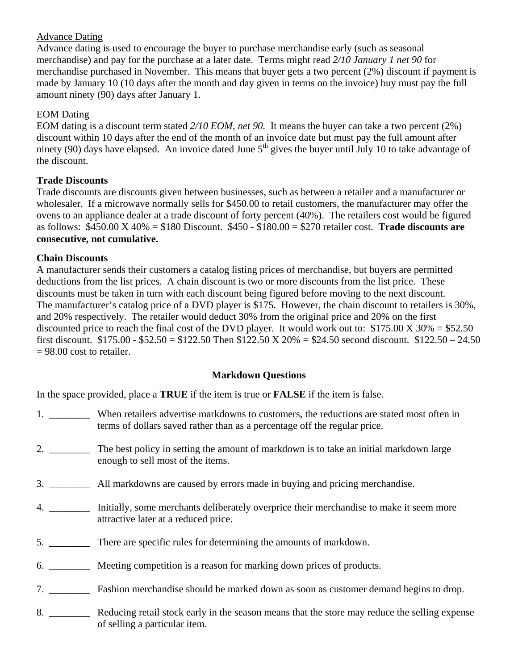## Advance Dating

Advance dating is used to encourage the buyer to purchase merchandise early (such as seasonal merchandise) and pay for the purchase at a later date. Terms might read *2/10 January 1 net 90* for merchandise purchased in November. This means that buyer gets a two percent (2%) discount if payment is made by January 10 (10 days after the month and day given in terms on the invoice) buy must pay the full amount ninety (90) days after January 1.

### EOM Dating

EOM dating is a discount term stated *2/10 EOM, net 90.* It means the buyer can take a two percent (2%) discount within 10 days after the end of the month of an invoice date but must pay the full amount after ninety (90) days have elapsed. An invoice dated June  $5<sup>th</sup>$  gives the buyer until July 10 to take advantage of the discount.

### **Trade Discounts**

Trade discounts are discounts given between businesses, such as between a retailer and a manufacturer or wholesaler. If a microwave normally sells for \$450.00 to retail customers, the manufacturer may offer the ovens to an appliance dealer at a trade discount of forty percent (40%). The retailers cost would be figured as follows: \$450.00 X 40% = \$180 Discount. \$450 - \$180.00 = \$270 retailer cost. **Trade discounts are consecutive, not cumulative.** 

#### **Chain Discounts**

A manufacturer sends their customers a catalog listing prices of merchandise, but buyers are permitted deductions from the list prices. A chain discount is two or more discounts from the list price. These discounts must be taken in turn with each discount being figured before moving to the next discount. The manufacturer's catalog price of a DVD player is \$175. However, the chain discount to retailers is 30%, and 20% respectively. The retailer would deduct 30% from the original price and 20% on the first discounted price to reach the final cost of the DVD player. It would work out to:  $$175.00 X 30\% = $52.50$ first discount.  $$175.00 - $52.50 = $122.50$  Then  $$122.50 \times 20\% = $24.50$  second discount.  $$122.50 - 24.50$  $= 98.00$  cost to retailer.

### **Markdown Questions**

In the space provided, place a **TRUE** if the item is true or **FALSE** if the item is false.

|    | When retailers advertise markdowns to customers, the reductions are stated most often in<br>terms of dollars saved rather than as a percentage off the regular price. |
|----|-----------------------------------------------------------------------------------------------------------------------------------------------------------------------|
| 2. | The best policy in setting the amount of markdown is to take an initial markdown large<br>enough to sell most of the items.                                           |
| 3. | All markdowns are caused by errors made in buying and pricing merchandise.                                                                                            |
| 4. | Initially, some merchants deliberately overprice their merchandise to make it seem more<br>attractive later at a reduced price.                                       |
| 5. | There are specific rules for determining the amounts of markdown.                                                                                                     |
|    | 6. Meeting competition is a reason for marking down prices of products.                                                                                               |
| 7. | Fashion merchandise should be marked down as soon as customer demand begins to drop.                                                                                  |

8. \_\_\_\_\_\_\_\_ Reducing retail stock early in the season means that the store may reduce the selling expense of selling a particular item.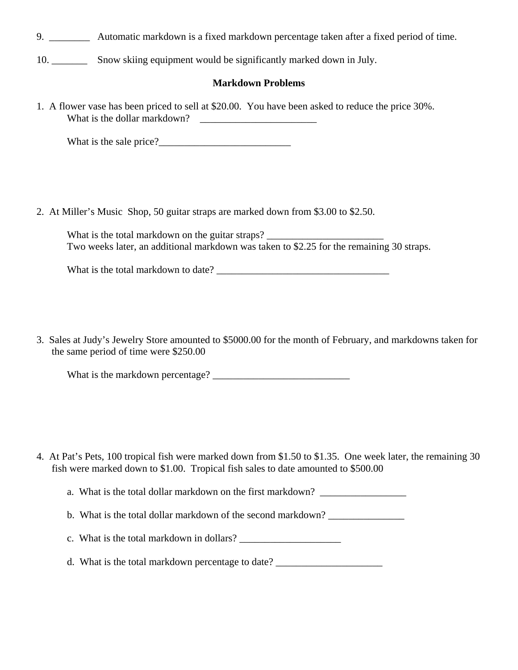9. \_\_\_\_\_\_\_\_ Automatic markdown is a fixed markdown percentage taken after a fixed period of time.

10. \_\_\_\_\_\_\_ Snow skiing equipment would be significantly marked down in July.

#### **Markdown Problems**

1. A flower vase has been priced to sell at \$20.00. You have been asked to reduce the price 30%. What is the dollar markdown?  $\qquad \qquad$ 

What is the sale price?

2. At Miller's Music Shop, 50 guitar straps are marked down from \$3.00 to \$2.50.

What is the total markdown on the guitar straps? Two weeks later, an additional markdown was taken to \$2.25 for the remaining 30 straps.

| What is the total markdown to date? |  |
|-------------------------------------|--|
|                                     |  |

3. Sales at Judy's Jewelry Store amounted to \$5000.00 for the month of February, and markdowns taken for the same period of time were \$250.00

| What is the markdown percentage? |  |
|----------------------------------|--|
|                                  |  |

4. At Pat's Pets, 100 tropical fish were marked down from \$1.50 to \$1.35. One week later, the remaining 30 fish were marked down to \$1.00. Tropical fish sales to date amounted to \$500.00

a. What is the total dollar markdown on the first markdown? \_\_\_\_\_\_\_\_\_\_\_\_\_\_\_\_\_\_\_\_

b. What is the total dollar markdown of the second markdown?

- c. What is the total markdown in dollars? \_\_\_\_\_\_\_\_\_\_\_\_\_\_\_\_\_\_\_\_
- d. What is the total markdown percentage to date? \_\_\_\_\_\_\_\_\_\_\_\_\_\_\_\_\_\_\_\_\_\_\_\_\_\_\_\_\_\_\_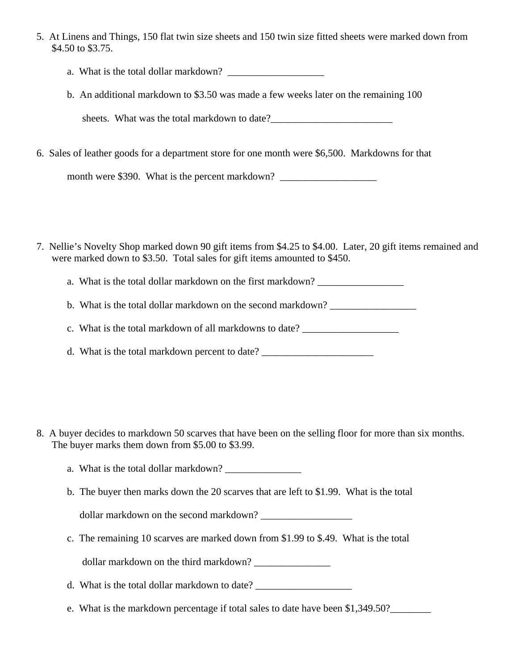- 5. At Linens and Things, 150 flat twin size sheets and 150 twin size fitted sheets were marked down from \$4.50 to \$3.75.
	- a. What is the total dollar markdown? \_\_\_\_\_\_\_\_\_\_\_\_\_\_\_\_\_\_\_
	- b. An additional markdown to \$3.50 was made a few weeks later on the remaining 100

sheets. What was the total markdown to date?

6. Sales of leather goods for a department store for one month were \$6,500. Markdowns for that

month were \$390. What is the percent markdown? \_\_\_\_\_\_\_\_\_\_\_\_\_\_\_\_\_\_\_\_\_\_\_\_\_\_\_\_\_\_\_\_\_\_

- 7. Nellie's Novelty Shop marked down 90 gift items from \$4.25 to \$4.00. Later, 20 gift items remained and were marked down to \$3.50. Total sales for gift items amounted to \$450.
	- a. What is the total dollar markdown on the first markdown?

b. What is the total dollar markdown on the second markdown?

c. What is the total markdown of all markdowns to date? \_\_\_\_\_\_\_\_\_\_\_\_\_\_\_\_\_\_\_\_\_\_\_\_

d. What is the total markdown percent to date?

- 8. A buyer decides to markdown 50 scarves that have been on the selling floor for more than six months. The buyer marks them down from \$5.00 to \$3.99.
	- a. What is the total dollar markdown?
	- b. The buyer then marks down the 20 scarves that are left to \$1.99. What is the total

dollar markdown on the second markdown?

c. The remaining 10 scarves are marked down from \$1.99 to \$.49. What is the total dollar markdown on the third markdown? \_\_\_\_\_\_\_\_\_\_\_\_\_\_\_

d. What is the total dollar markdown to date?

e. What is the markdown percentage if total sales to date have been \$1,349.50?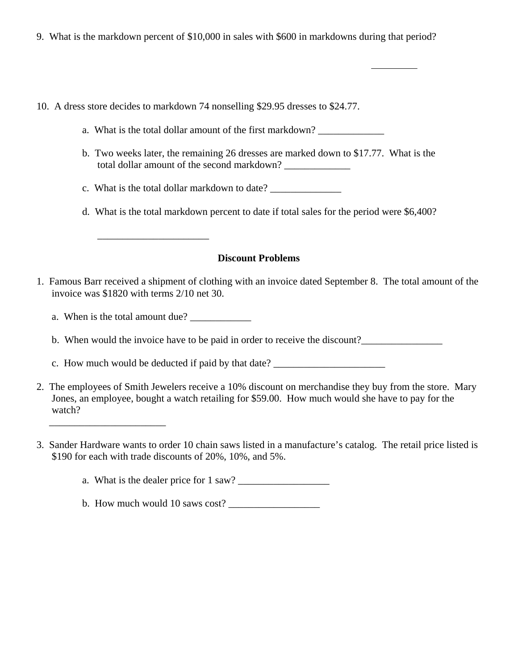- 9. What is the markdown percent of \$10,000 in sales with \$600 in markdowns during that period?
- 10. A dress store decides to markdown 74 nonselling \$29.95 dresses to \$24.77.
	- a. What is the total dollar amount of the first markdown?
	- b. Two weeks later, the remaining 26 dresses are marked down to \$17.77. What is the total dollar amount of the second markdown? \_\_\_\_\_\_\_\_\_\_\_\_\_
	- c. What is the total dollar markdown to date? \_\_\_\_\_\_\_\_\_\_\_\_\_\_\_\_\_\_\_\_\_\_\_\_\_\_\_\_\_\_\_\_\_\_\_
	- d. What is the total markdown percent to date if total sales for the period were \$6,400?

#### **Discount Problems**

- 1. Famous Barr received a shipment of clothing with an invoice dated September 8. The total amount of the invoice was \$1820 with terms 2/10 net 30.
	- a. When is the total amount due?

 $\overline{\phantom{a}}$  , and the set of the set of the set of the set of the set of the set of the set of the set of the set of the set of the set of the set of the set of the set of the set of the set of the set of the set of the s

 $\overline{\phantom{a}}$  ,  $\overline{\phantom{a}}$  ,  $\overline{\phantom{a}}$  ,  $\overline{\phantom{a}}$  ,  $\overline{\phantom{a}}$  ,  $\overline{\phantom{a}}$  ,  $\overline{\phantom{a}}$  ,  $\overline{\phantom{a}}$  ,  $\overline{\phantom{a}}$  ,  $\overline{\phantom{a}}$  ,  $\overline{\phantom{a}}$  ,  $\overline{\phantom{a}}$  ,  $\overline{\phantom{a}}$  ,  $\overline{\phantom{a}}$  ,  $\overline{\phantom{a}}$  ,  $\overline{\phantom{a}}$ 

b. When would the invoice have to be paid in order to receive the discount?

c. How much would be deducted if paid by that date? \_\_\_\_\_\_\_\_\_\_\_\_\_\_\_\_\_\_\_\_\_\_

- 2. The employees of Smith Jewelers receive a 10% discount on merchandise they buy from the store. Mary Jones, an employee, bought a watch retailing for \$59.00. How much would she have to pay for the watch?
- 3. Sander Hardware wants to order 10 chain saws listed in a manufacture's catalog. The retail price listed is \$190 for each with trade discounts of 20%, 10%, and 5%.

a. What is the dealer price for 1 saw?

b. How much would 10 saws cost?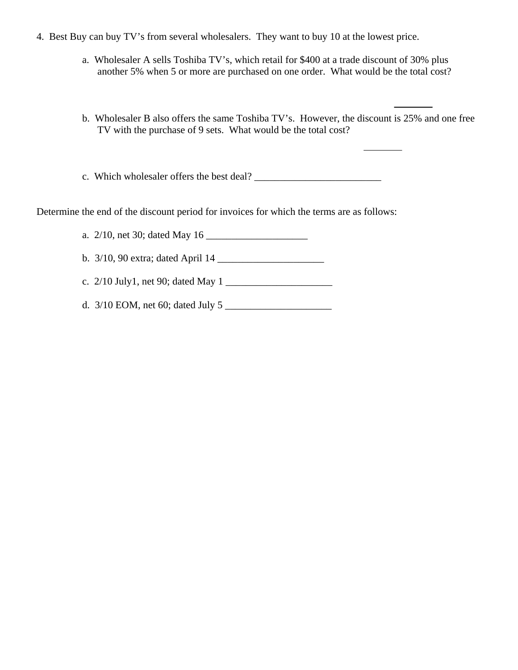- 4. Best Buy can buy TV's from several wholesalers. They want to buy 10 at the lowest price.
	- a. Wholesaler A sells Toshiba TV's, which retail for \$400 at a trade discount of 30% plus another 5% when 5 or more are purchased on one order. What would be the total cost?
	- b. Wholesaler B also offers the same Toshiba TV's. However, the discount is 25% and one free TV with the purchase of 9 sets. What would be the total cost?

c. Which wholesaler offers the best deal? \_\_\_\_\_\_\_\_\_\_\_\_\_\_\_\_\_\_\_\_\_\_\_\_\_

Determine the end of the discount period for invoices for which the terms are as follows:

a. 2/10, net 30; dated May 16

b. 3/10, 90 extra; dated April 14 \_\_\_\_\_\_\_\_\_\_\_\_\_\_\_\_\_\_\_\_\_

c. 2/10 July1, net 90; dated May 1 \_\_\_\_\_\_\_\_\_\_\_\_\_\_\_\_\_\_\_\_\_

d. 3/10 EOM, net 60; dated July 5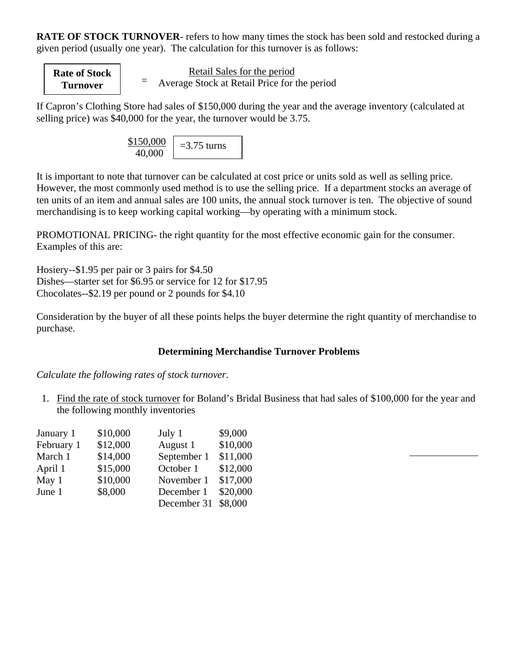**RATE OF STOCK TURNOVER**- refers to how many times the stock has been sold and restocked during a given period (usually one year). The calculation for this turnover is as follows:

**Rate of Stock Turnover** <sup>=</sup>

Retail Sales for the period Average Stock at Retail Price for the period

If Capron's Clothing Store had sales of \$150,000 during the year and the average inventory (calculated at selling price) was \$40,000 for the year, the turnover would be 3.75.

> \$150,000 40,000  $=$ 3.75 turns

It is important to note that turnover can be calculated at cost price or units sold as well as selling price. However, the most commonly used method is to use the selling price. If a department stocks an average of ten units of an item and annual sales are 100 units, the annual stock turnover is ten. The objective of sound merchandising is to keep working capital working—by operating with a minimum stock.

PROMOTIONAL PRICING- the right quantity for the most effective economic gain for the consumer. Examples of this are:

Hosiery--\$1.95 per pair or 3 pairs for \$4.50 Dishes—starter set for \$6.95 or service for 12 for \$17.95 Chocolates--\$2.19 per pound or 2 pounds for \$4.10

Consideration by the buyer of all these points helps the buyer determine the right quantity of merchandise to purchase.

## **Determining Merchandise Turnover Problems**

*Calculate the following rates of stock turnover*.

1. Find the rate of stock turnover for Boland's Bridal Business that had sales of \$100,000 for the year and the following monthly inventories

| January 1  | \$10,000 | July 1      | \$9,000  |
|------------|----------|-------------|----------|
| February 1 | \$12,000 | August 1    | \$10,000 |
| March 1    | \$14,000 | September 1 | \$11,000 |
| April 1    | \$15,000 | October 1   | \$12,000 |
| May 1      | \$10,000 | November 1  | \$17,000 |
| June 1     | \$8,000  | December 1  | \$20,000 |
|            |          | December 31 | \$8,000  |